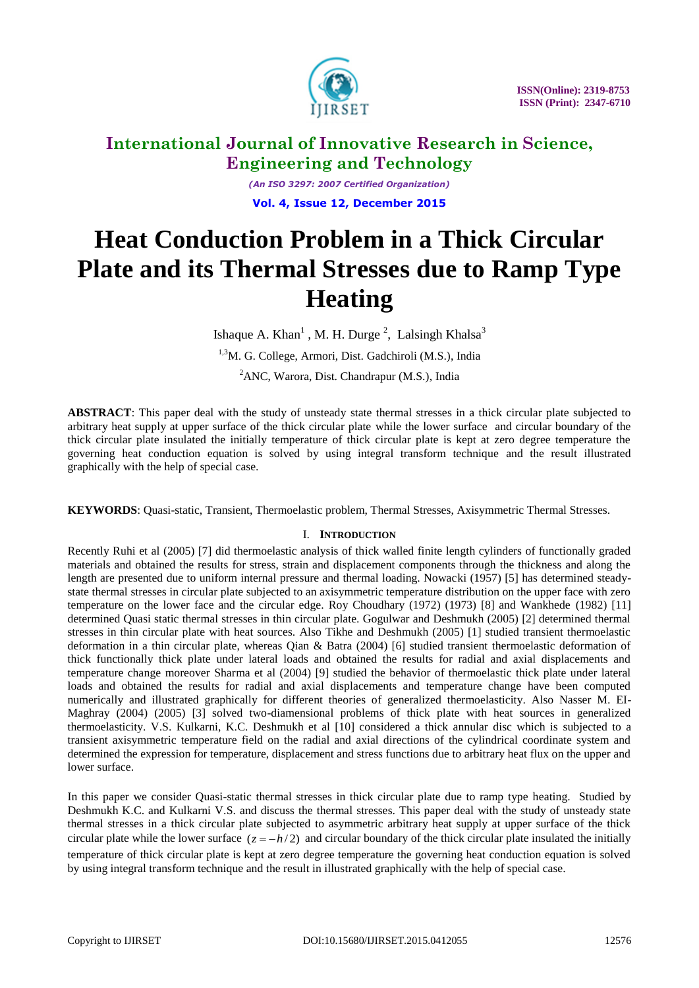

*(An ISO 3297: 2007 Certified Organization)* **Vol. 4, Issue 12, December 2015**

# **Heat Conduction Problem in a Thick Circular Plate and its Thermal Stresses due to Ramp Type Heating**

Ishaque A. Khan<sup>1</sup>, M. H. Durge<sup>2</sup>, Lalsingh Khalsa<sup>3</sup> <sup>1,3</sup>M. G. College, Armori, Dist. Gadchiroli (M.S.), India <sup>2</sup>ANC, Warora, Dist. Chandrapur (M.S.), India

**ABSTRACT**: This paper deal with the study of unsteady state thermal stresses in a thick circular plate subjected to arbitrary heat supply at upper surface of the thick circular plate while the lower surface and circular boundary of the thick circular plate insulated the initially temperature of thick circular plate is kept at zero degree temperature the governing heat conduction equation is solved by using integral transform technique and the result illustrated graphically with the help of special case.

**KEYWORDS**: Quasi-static, Transient, Thermoelastic problem, Thermal Stresses, Axisymmetric Thermal Stresses.

### I. **INTRODUCTION**

Recently Ruhi et al (2005) [7] did thermoelastic analysis of thick walled finite length cylinders of functionally graded materials and obtained the results for stress, strain and displacement components through the thickness and along the length are presented due to uniform internal pressure and thermal loading. Nowacki (1957) [5] has determined steadystate thermal stresses in circular plate subjected to an axisymmetric temperature distribution on the upper face with zero temperature on the lower face and the circular edge. Roy Choudhary (1972) (1973) [8] and Wankhede (1982) [11] determined Quasi static thermal stresses in thin circular plate. Gogulwar and Deshmukh (2005) [2] determined thermal stresses in thin circular plate with heat sources. Also Tikhe and Deshmukh (2005) [1] studied transient thermoelastic deformation in a thin circular plate, whereas Qian & Batra (2004) [6] studied transient thermoelastic deformation of thick functionally thick plate under lateral loads and obtained the results for radial and axial displacements and temperature change moreover Sharma et al (2004) [9] studied the behavior of thermoelastic thick plate under lateral loads and obtained the results for radial and axial displacements and temperature change have been computed numerically and illustrated graphically for different theories of generalized thermoelasticity. Also Nasser M. EI-Maghray (2004) (2005) [3] solved two-diamensional problems of thick plate with heat sources in generalized thermoelasticity. V.S. Kulkarni, K.C. Deshmukh et al [10] considered a thick annular disc which is subjected to a transient axisymmetric temperature field on the radial and axial directions of the cylindrical coordinate system and determined the expression for temperature, displacement and stress functions due to arbitrary heat flux on the upper and lower surface.

In this paper we consider Quasi-static thermal stresses in thick circular plate due to ramp type heating. Studied by Deshmukh K.C. and Kulkarni V.S. and discuss the thermal stresses. This paper deal with the study of unsteady state thermal stresses in a thick circular plate subjected to asymmetric arbitrary heat supply at upper surface of the thick circular plate while the lower surface  $(z = -h/2)$  and circular boundary of the thick circular plate insulated the initially temperature of thick circular plate is kept at zero degree temperature the governing heat conduction equation is solved by using integral transform technique and the result in illustrated graphically with the help of special case.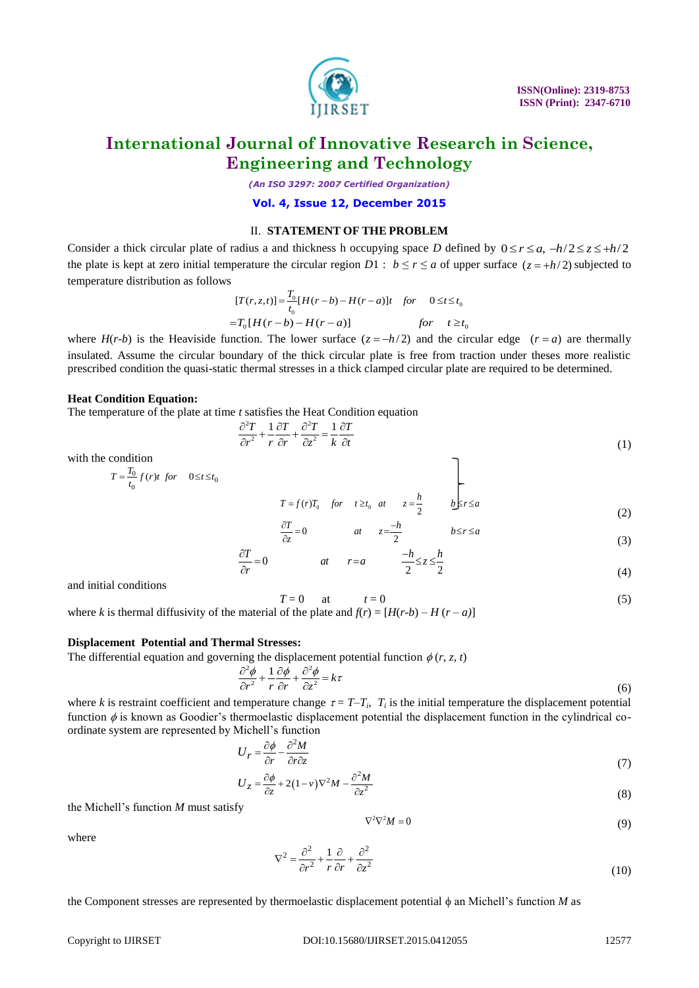

*(An ISO 3297: 2007 Certified Organization)*

**Vol. 4, Issue 12, December 2015**

#### II. **STATEMENT OF THE PROBLEM**

Consider a thick circular plate of radius a and thickness h occupying space *D* defined by  $0 \le r \le a$ ,  $-h/2 \le z \le +h/2$ the plate is kept at zero initial temperature the circular region  $D1 : b \le r \le a$  of upper surface  $(z = +h/2)$  subjected to temperature distribution as follows  $=\frac{T_0}{t_0}[H(r-b)-H(r-a)]t$  for  $0 \le t \le t_0$ 

$$
[T(r, z, t)] = \frac{T_0}{t_0} [H(r - b) - H(r - a)]t \quad \text{for} \quad 0 \le t \le t_0
$$
  
=  $T_0 [H(r - b) - H(r - a)]$  \quad \text{for} \quad t \ge t\_0

where  $H(r-b)$  is the Heaviside function. The lower surface  $(z = -h/2)$  and the circular edge  $(r = a)$  are thermally insulated. Assume the circular boundary of the thick circular plate is free from traction under theses more realistic prescribed condition the quasi-static thermal stresses in a thick clamped circular plate are required to be determined.

#### **Heat Condition Equation:**

The temperature of the plate at time *t* satisfies the Heat Condition equation  $\frac{\partial^2 T}{\partial t^2} + \frac{1}{\partial t \partial t} \frac{\partial^2 T}{\partial t^2} - \frac{1}{\partial t \partial t}$ 

$$
\frac{\partial^2 T}{\partial r^2} + \frac{1}{r} \frac{\partial T}{\partial r} + \frac{\partial^2 T}{\partial z^2} = \frac{1}{k} \frac{\partial T}{\partial t}
$$
(1)

with the condition

$$
T = \frac{T_0}{t_0} f(r)t \text{ for } 0 \le t \le t_0
$$

$$
T = f(r)T_0 \quad \text{for} \quad t \ge t_0 \quad at \quad z = \frac{h}{2} \qquad b \le r \le a
$$
\n
$$
\frac{\partial T}{\partial z} = 0 \qquad at \quad z = \frac{-h}{2} \qquad b \le r \le a \tag{3}
$$

$$
\frac{\partial T}{\partial z} = 0 \qquad at \qquad z = \frac{-h}{2} \qquad b \le r \le a
$$
\n
$$
\frac{\partial T}{\partial r} = 0 \qquad at \qquad r = a \qquad \frac{-h}{2} \le z \le \frac{h}{2}
$$
\n(3)

$$
\frac{\partial T}{\partial r} = 0 \qquad at \qquad r = a \qquad \frac{-h}{2} \le z \le \frac{h}{2}
$$
 (3)

and initial conditions

$$
T = 0 \qquad \text{at} \qquad t = 0 \tag{5}
$$

where *k* is thermal diffusivity of the material of the plate and  $f(r) = [H(r-b) - H(r-a)]$ 

#### **Displacement Potential and Thermal Stresses:**

The differential equation and governing the displacement potential function  $\phi(r, z, t)$ <br>  $\frac{\partial^2 \phi}{\partial \phi}$   $1 \frac{\partial \phi}{\partial \phi}$   $\frac{\partial^2 \phi}{\partial z}$ 

$$
\frac{\partial^2 \phi}{\partial r^2} + \frac{1}{r} \frac{\partial \phi}{\partial r} + \frac{\partial^2 \phi}{\partial z^2} = k\tau
$$
\n(6)

where *k* is restraint coefficient and temperature change  $\tau = T - T_i$ ,  $T_i$  is the initial temperature the displacement potential function  $\phi$  is known as Goodier's thermoelastic displacement potential the displacement function in the cylindrical coordinate system are represented by Michell's function

$$
U_r = \frac{\partial \phi}{\partial r} - \frac{\partial^2 M}{\partial r \partial z} \tag{7}
$$

$$
\frac{\partial r}{\partial z} = \frac{\partial \phi}{\partial z} + 2(1 - v)\nabla^2 M - \frac{\partial^2 M}{\partial z^2}
$$
\n(3)

the Michell's function *M* must satisfy

$$
\nabla^2 \nabla^2 M = 0 \tag{9}
$$

where

$$
\nabla^2 = \frac{\partial^2}{\partial r^2} + \frac{1}{r} \frac{\partial}{\partial r} + \frac{\partial^2}{\partial z^2}
$$
 (10)

the Component stresses are represented by thermoelastic displacement potential  $\phi$  an Michell's function *M* as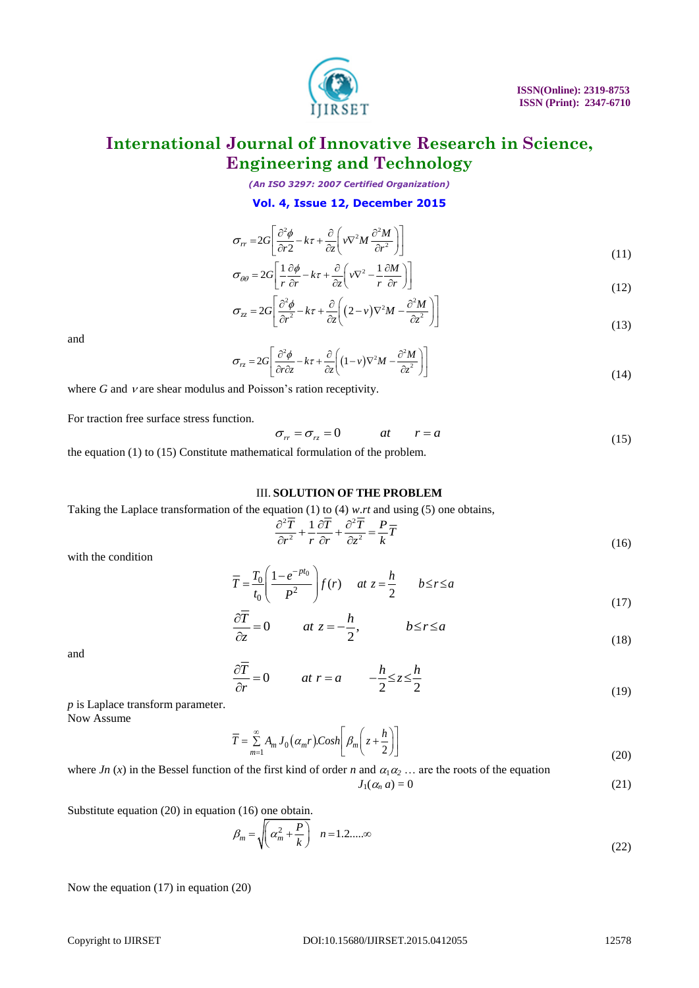

*(An ISO 3297: 2007 Certified Organization)*

#### **Vol. 4, Issue 12, December 2015**

$$
\sigma_{rr} = 2G \left[ \frac{\partial^2 \phi}{\partial r^2} - k\tau + \frac{\partial}{\partial z} \left( v \nabla^2 M \frac{\partial^2 M}{\partial r^2} \right) \right]
$$
  
\n
$$
\sigma_{\theta\theta} = 2G \left[ \frac{1}{2} \frac{\partial \phi}{\partial r} - k\tau + \frac{\partial}{\partial z} \left( v \nabla^2 - \frac{1}{2} \frac{\partial M}{\partial r} \right) \right]
$$
\n(11)

$$
\sigma_{\theta\theta} = 2G \left[ \frac{1}{r} \frac{\partial \phi}{\partial r} - k\tau + \frac{\partial}{\partial z} \left( v \nabla^2 - \frac{1}{r} \frac{\partial M}{\partial r} \right) \right]
$$
(11)

$$
\sigma_{\theta\theta} = 2G \left[ \frac{\partial^2 \phi}{r \partial r} - k\tau + \frac{\partial}{\partial z} \left( vV^2 - \frac{\partial^2 W}{r \partial r} \right) \right]
$$
\n
$$
\sigma_{zz} = 2G \left[ \frac{\partial^2 \phi}{\partial r^2} - k\tau + \frac{\partial}{\partial z} \left( (2 - v)V^2 M - \frac{\partial^2 M}{\partial z^2} \right) \right]
$$
\n(12)

and

$$
\sigma_{rz} = 2G \left[ \frac{\partial^2 \phi}{\partial r \partial z} - k\tau + \frac{\partial}{\partial z} \left( (1 - v)\nabla^2 M - \frac{\partial^2 M}{\partial z^2} \right) \right]
$$
(14)

where  $G$  and  $\nu$  are shear modulus and Poisson's ration receptivity.

For traction free surface stress function.

$$
\sigma_r = \sigma_{rz} = 0 \qquad at \qquad r = a \tag{15}
$$

the equation (1) to (15) Constitute mathematical formulation of the problem.

#### III. **SOLUTION OF THE PROBLEM**

Taking the Laplace transformation of the equation (1) to (4) *w.rt* and using (5) one obtains,<br> $\frac{\partial^2 \overline{T}}{\partial t^2} + \frac{1}{2} \frac{\partial \overline{T}}{\partial t^2} + \frac{\partial^2 \overline{T}}{\partial t^2} - \frac{P}{T} \overline{T}$ 

$$
\frac{\partial^2 \overline{T}}{\partial r^2} + \frac{1}{r} \frac{\partial \overline{T}}{\partial r} + \frac{\partial^2 \overline{T}}{\partial z^2} = \frac{P}{k} \overline{T}
$$
(16)

with the condition

$$
\overline{T} = \frac{T_0}{t_0} \left( \frac{1 - e^{-pt_0}}{P^2} \right) f(r) \quad at \ z = \frac{h}{2} \qquad b \le r \le a \tag{16}
$$
\n
$$
(16)
$$

$$
t_0 \left( P^2 \right)^{3/2} 2
$$
\n
$$
\frac{\partial \overline{T}}{\partial z} = 0 \qquad at \ z = -\frac{h}{2}, \qquad b \le r \le a
$$
\n(17)

and

$$
\frac{\partial \overline{T}}{\partial r} = 0 \qquad at \ r = a \qquad -\frac{h}{2} \le z \le \frac{h}{2}
$$
 (19)

*p* is Laplace transform parameter. Now Assume

 $A_{m} J_{0}(\alpha_{m} r).$  $\sum_{m=1}^{\infty} A_m J_0(\alpha_m r) \text{.} \text{Cosh} \left[ \beta_m \left( z + \frac{h}{2} \right) \right]$ *h*  $\overline{T} = \sum_{m=1}^{\infty} A_m J_0(\alpha_m r) \text{Cosh} \left[ \beta_m \right] z +$ 8 =  $\sum_{m=1}^{\infty} A_m J_0(\alpha_m r) \text{.} \text{Cosh}\left[\beta_m \left(z + \frac{h}{2}\right)\right]$ (20)

where 
$$
Jn(x)
$$
 in the Bessel function of the first kind of order *n* and  $\alpha_1 \alpha_2 \dots$  are the roots of the equation  

$$
J_1(\alpha_n a) = 0
$$
 (21)

Substitute equation (20) in equation (16) one obtain.<br> $\beta_m = \sqrt{\left(\alpha_m^2 + \frac{P}{l}\right)}$ 

$$
\beta_m = \sqrt{\left(\alpha_m^2 + \frac{P}{k}\right)} \quad n = 1.2....\infty
$$
\n(22)

Now the equation (17) in equation (20)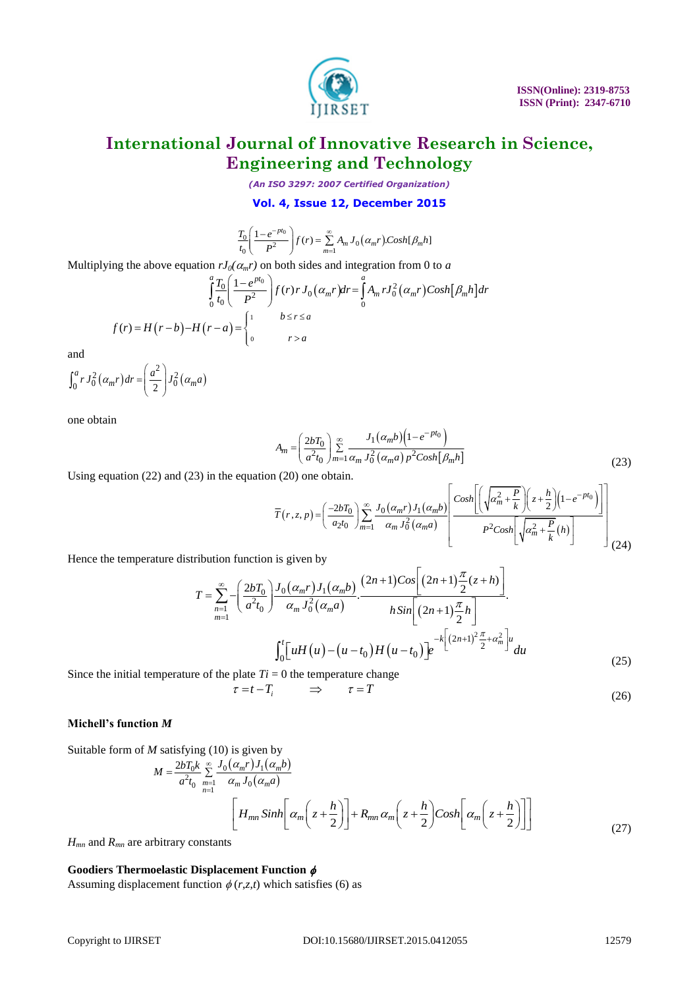

*(An ISO 3297: 2007 Certified Organization)*

**Vol. 4, Issue 12, December 2015**  

$$
\frac{T_0}{t_0} \left( \frac{1 - e^{-pt_0}}{P^2} \right) f(r) = \sum_{m=1}^{\infty} A_m J_0 \left( \alpha_m r \right) \text{Cosh}[B_m h]
$$

$$
\frac{T_0}{t_0} \left( \frac{1 - e^{-pt_0}}{P^2} \right) f(r) = \sum_{m=1}^{\infty} A_m J_0(\alpha_m r) \text{Cosh}[\beta_m h]
$$
  
\nMultiplying the above equation  $rJ_0(\alpha_m r)$  on both sides and integration from 0 to a  
\n
$$
\int_0^a \frac{T_0}{t_0} \left( \frac{1 - e^{pt_0}}{P^2} \right) f(r) r J_0(\alpha_m r) dr = \int_0^a A_m r J_0^2(\alpha_m r) \text{Cosh}[\beta_m h] dr
$$
  
\n
$$
f(r) = H(r - b) - H(r - a) = \begin{cases} 1 & b \le r \le a \\ 0 & r > a \end{cases}
$$

and

and  

$$
\int_0^a r J_0^2(\alpha_m r) dr = \left(\frac{a^2}{2}\right) J_0^2(\alpha_m a)
$$

one obtain

$$
A_m = \left(\frac{2bT_0}{a^2t_0}\right) \sum_{m=1}^{\infty} \frac{J_1(\alpha_m b)\left(1 - e^{-pt_0}\right)}{\alpha_m J_0^2(\alpha_m a) p^2 \cosh[\beta_m h]}
$$
(23)

$$
A_m = \left(\frac{2}{a^2 t_0}\right) \sum_{m=1}^{\infty} \frac{1}{\alpha_m J_0^2 (\alpha_m a) p^2 \cosh[\beta_m h]}
$$
(23)  
Using equation (22) and (23) in the equation (20) one obtain.  

$$
\overline{T}(r, z, p) = \left(\frac{-2bT_0}{a_2 t_0}\right) \sum_{m=1}^{\infty} \frac{J_0(\alpha_m r) J_1(\alpha_m b)}{\alpha_m J_0^2 (\alpha_m a)}
$$

$$
P^2 \cosh\left[\sqrt{\alpha_m^2 + \frac{P}{k}}(h)\right]
$$
(23)

Copyright to IJIRSET DOI:10.15680/IJIRSET.2015.0412055 12579 Hence the temperature distribution function is given by <sup>0</sup> 0 1 2 2 <sup>1</sup> 0 0 1 2 1 2 1 ( ) 2 2 . . 2 1 2 *m m <sup>n</sup> m m m n Cos n z h bT J r J b T a t J a hSin n h* <sup>2</sup> <sup>2</sup> 2 1 2 0 0 <sup>0</sup> *t k n u <sup>m</sup> uH u u t H u t e du* (25)

Since the initial temperature of the plate  $Ti = 0$  the temperature change<br> $\tau = t - T_i \implies \tau = T$ 

$$
-T_i \qquad \Rightarrow \qquad \tau = T \tag{26}
$$

#### **Michell's function** *M*

Suitable form of *M* satisfying (10) is given by

*M* satisfying (10) is given by  
\n
$$
M = \frac{2bT_0k}{a^2t_0} \sum_{\substack{m=1 \ n \text{ odd}}}^{\infty} \frac{J_0(\alpha_m r)J_1(\alpha_m b)}{\alpha_m J_0(\alpha_m a)}
$$
\n
$$
\left[ H_{mn} \sinh \left[ \alpha_m \left( z + \frac{h}{2} \right) \right] + R_{mn} \alpha_m \left( z + \frac{h}{2} \right) \cos \left[ \alpha_m \left( z + \frac{h}{2} \right) \right] \right]
$$
\n(27)

*Hmn* and *Rmn* are arbitrary constants

#### **Goodiers Thermoelastic Displacement Function**

Assuming displacement function  $\phi(r,z,t)$  which satisfies (6) as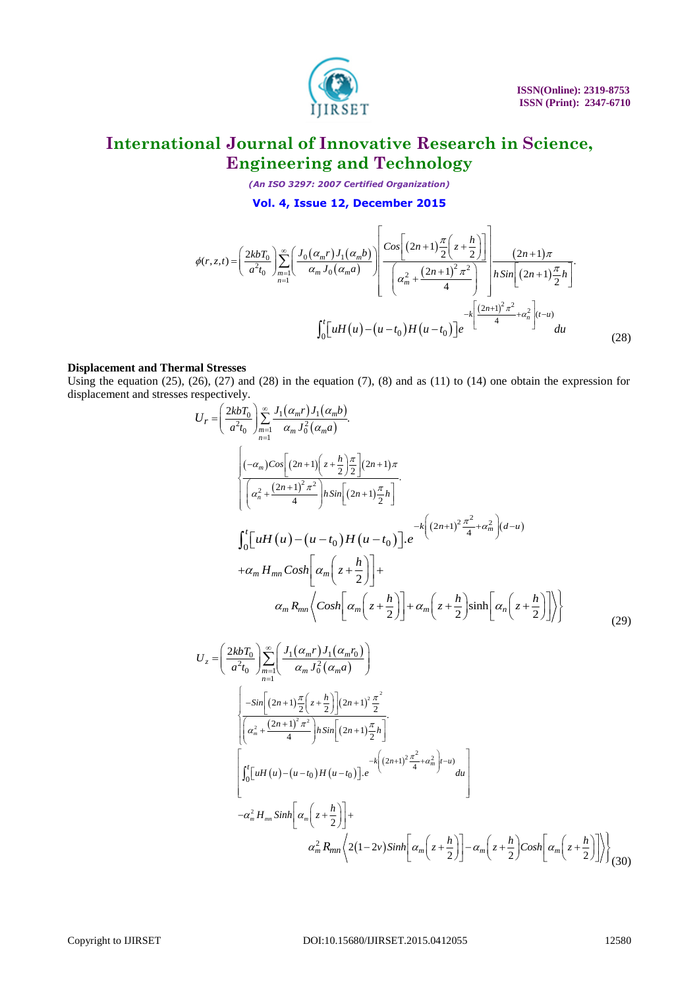

*(An ISO 3297: 2007 Certified Organization)*

$$
(An ISO 3297: 2007 \text{ Certified Organization})
$$
  
\n
$$
\text{Vol. 4, Issue 12, December 2015}
$$
  
\n
$$
\phi(r, z, t) = \left(\frac{2kbT_0}{a^2t_0}\right) \sum_{n=1}^{\infty} \left(\frac{J_0(\alpha_m r)J_1(\alpha_m b)}{\alpha_m J_0(\alpha_m a)}\right) \left(\frac{\cos\left[(2n+1)\frac{\pi}{2}\left(z+\frac{h}{2}\right)\right]}{\left(\alpha_m^2 + \frac{(2n+1)^2 \pi^2}{4}\right)}\right) \frac{(2n+1)\pi}{h \sin\left[(2n+1)\frac{\pi}{2}h\right]}.
$$
  
\n
$$
\int_0^t \left[uH(u) - (u-t_0)H(u-t_0)\right] e^{-k\left[\frac{(2n+1)^2 \pi^2}{4} + \alpha_n^2\right](t-u)} du
$$
\n(28)

#### **Displacement and Thermal Stresses**

Using the equation  $(25)$ ,  $(26)$ ,  $(27)$  and  $(28)$  in the equation  $(7)$ ,  $(8)$  and as  $(11)$  to  $(14)$  one obtain the expression for displacement and stresses respectively.<br> $I = \left(\frac{2kbT_0}{\sum_{i=1}^{N} T_i}\right) \sum_{i=1}^{N} I_i$ 

$$
\phi(r,z,t) = \left(\frac{2k\delta T_0}{a^2 t_0}\right) \sum_{n=1}^{\infty} \left[\frac{J_0(a_mr)J_1(a_mb)}{a_m t_0(a_ma)}\right] \left[\frac{c_1x_1x_2x_3x_4x_5x_6x_6x_7x_7x_8x_8x_8x_9}{a_m t_0(a_m a)}\right] \left[\frac{c_1x_2x_3x_4x_7x_7x_8x_8x_8}{a_m t_0^2\left[\frac{2k\delta T_0}{a^2t_0}\right]x_6\right]}\right] \frac{E_0\left[\left[1HI(u)-(u-t_0)H(u-t_0)\right]e^{-\frac{1}{2}\left[\frac{(2n+1)^2\pi^2}{a^2}+ct_0^2\right]}du}\right]}{u_0}
$$
\n**Displacement and Thermal Stress**\nUsing the equation (25), (26), (27) and (28) in the equation (7), (8) and as (11) to (14) one obtain the expression for  $U_r = \left(\frac{2k\delta T_0}{a^2 t_0}\right) \sum_{n=1}^{\infty} \frac{J_1(a_mr)J_1(a_mb)}{a_m t_0^2(a_m a)}.$ \n
$$
\left[\frac{(-a_m)\cos\left[\frac{2k\delta T_0}{a^2t_0}\right]x_6\frac{x_1}{a^2t_0^2}\frac{y_2}{a^2t_0^2}\right]}{a_m t_0^2\left[\frac{2k\delta T_0}{a^2t_0}\right]x_6\left[\frac{2k\delta T_0}{a^2t_0}\right]x_7\frac{x_7}{a^2t_0^2}.
$$
\n
$$
\int_0^t \left[\frac{uH(u)-(u-t_0)H(u-t_0)}{a^2t_0}\right]e^{-\frac{k}{2}\left[\frac{2k\delta T_0}{a^2t_0}\right]x_6\frac{x_7}{a^2t_0^2}}\right] + \frac{A_0\left(z+\frac{h}{2}\right)\sinh\left[\alpha_n\left(z+\frac{h}{2}\right)\right]\right)}{a_nR_m\left[\alpha_n\left(z+\frac{h}{2}\right)\right]x_7\left[\alpha_n\left(z+\frac{h}{2}\right)\right]x_8\left[\alpha_n\left(z+\frac{h}{2}\right)\right
$$

$$
U_{z} = \left(\frac{2kbT_{0}}{a^{2}t_{0}}\right) \sum_{m=1}^{\infty} \left(\frac{J_{1}(\alpha_{m}r)J_{1}(\alpha_{m}r_{0})}{\alpha_{m}J_{0}^{2}(\alpha_{m}a)}\right)
$$
  

$$
\left(\frac{-sin[(2n+1)\frac{\pi}{2}(z+\frac{h}{2})](2n+1)^{2}\frac{\pi^{2}}{2}}{\left[\left(\alpha_{m}^{2}+\frac{(2n+1)^{2}\pi^{2}}{4}\right)h sin[(2n+1)\frac{\pi}{2}h]\right]} \cdot \left[\frac{\pi^{2}}{2}\right]
$$
  

$$
\left[\int_{0}^{t}[uH(u)-(u-t_{0})H(u-t_{0})] \cdot e^{-k\left((2n+1)^{2}\frac{\pi^{2}}{4}+\alpha_{m}^{2}\right)t-u\right]} du\right]
$$
  

$$
-\alpha_{m}^{2}H_{mn}sinh\left[\alpha_{m}\left(z+\frac{h}{2}\right)\right] + \alpha_{m}^{2}R_{mn}\left(2(1-2v)sinh\left[\alpha_{m}\left(z+\frac{h}{2}\right)\right]-\alpha_{m}\left(z+\frac{h}{2}\right)Cosh\left[\alpha_{m}\left(z+\frac{h}{2}\right)\right]\right)
$$
(30)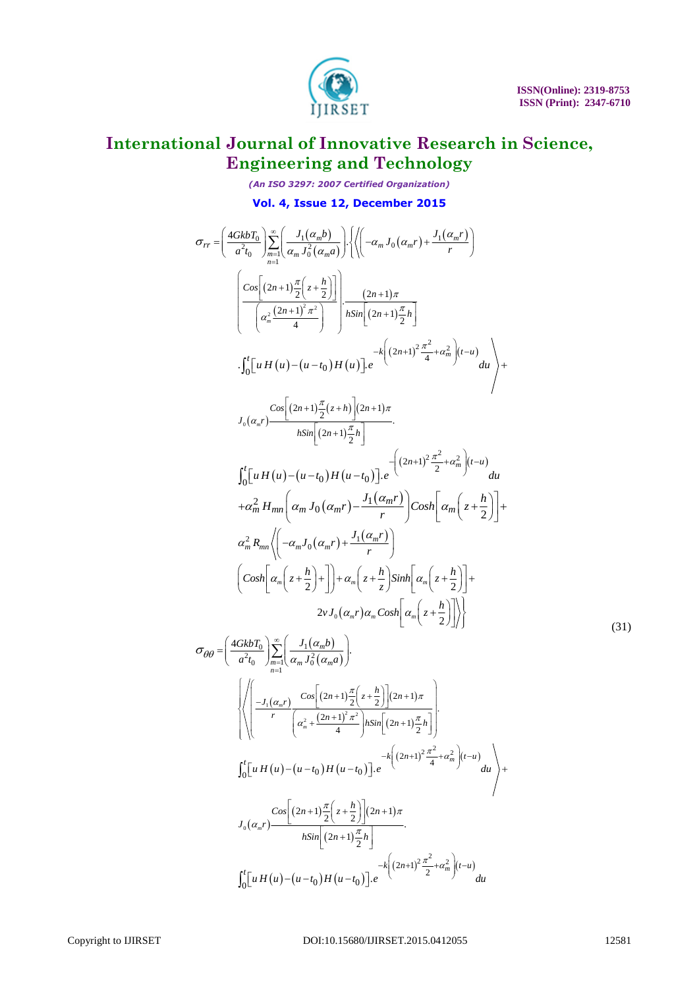

*(An ISO 3297: 2007 Certified Organization)*

$$
\mathbf{v}_{01.} = \left( \frac{4GkbT_{0}}{a^{2}t_{0}} \right) \sum_{n=1}^{\infty} \left( \frac{J_{1}(\alpha_{m}b)}{a_{n}t_{0}^{2}} \right) \left\{ \left\langle \left( -\alpha_{m}J_{0}(\alpha_{m}r) + \frac{J_{1}(\alpha_{m}r)}{r} \right) \right\} \right\} \left\{ \left( -\alpha_{m}J_{0}(\alpha_{m}r) + \frac{J_{1}(\alpha_{m}r)}{r} \right) \right\}
$$
\n
$$
\left( \frac{C\omega_{0} \left( 2n+1\right) \frac{\pi}{a} \left( 2+\frac{h}{2} \right)}{\left( a_{n}^{2} \left( 2n+1\right) \frac{\pi}{a} \right)} \right) \frac{(2n+1)\pi}{h\sin \left[ (2n+1) \frac{\pi}{a} h} \right]} \right) \frac{(-1)(1+h)\pi}{h\sin \left[ (2n+1) \frac{\pi}{a} h} \left\{ (2n+1) \frac{\pi}{a} h \right\} \left\{ (2n+1) \frac{\pi}{a} h \right\} + \frac{C\omega_{0} \left[ (2n+1) \frac{\pi}{a} \left( 2n+1\right) \frac{\pi}{a} h \right]}{\left\langle \left[ (2n+1) \frac{\pi}{a} \left( 2n+1\right) \frac{\pi}{a} h \right] \right\rangle} \right\}
$$
\n
$$
\int_{0}^{1} \left[ u H(u) - (u-t_{0}) H(u-t_{0}) \right] e^{-\left( (2n+1)^{2} \frac{\pi^{2}}{2} + \alpha_{m}^{2} \right) \left( t-u \right)} du
$$
\n
$$
+ \alpha_{m}^{2} H_{mm} \left( \alpha_{m}J_{0}(\alpha_{m}r) - \frac{J_{1}(\alpha_{m}r)}{r} \right) \right) \cos h \left[ \alpha_{m} \left( z + \frac{h}{2} \right) \right] + \alpha_{m}^{2} R_{mm} \left\langle \left( -\alpha_{m}J_{0}(\alpha_{m}r) + \frac{J_{1}(\alpha_{m}r)}{r} \right) \right)
$$
\n
$$
\left( \cos h \left[ \alpha_{m} \left( z + \frac{h}{2} \
$$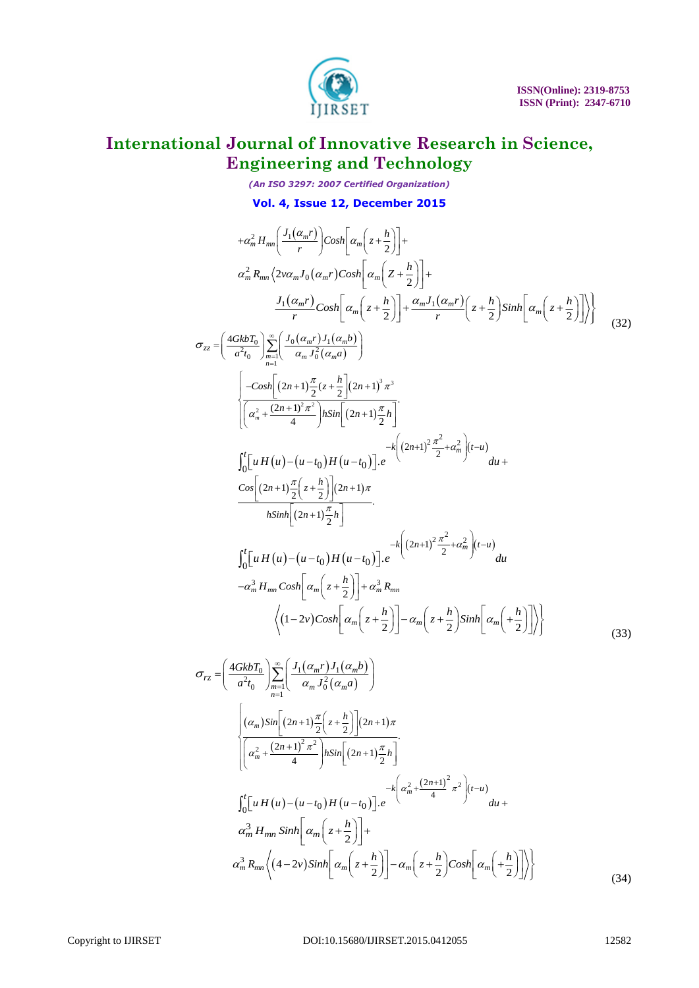

*(An ISO 3297: 2007 Certified Organization)* **Vol. 4, Issue 12, December 2015**

$$
+a_{m}^{2}H_{nm}\left[\frac{J_{1}(a_{m}r)}{r}\right)cosh\left[a_{m}\left(z+\frac{h}{2}\right)\right]+
$$
\n
$$
a_{m}^{2}R_{mn}\left(2v\alpha_{m}J_{0}(a_{m}r)cosh\left[a_{m}\left(z+\frac{h}{2}\right)\right]+\right.
$$
\n
$$
a_{m}^{2}R_{mn}\left(2v\alpha_{m}J_{0}(a_{m}r)cosh\left[a_{m}\left(z+\frac{h}{2}\right)\right]\right)+\frac{a_{m}J_{1}(a_{m}r)}{r}\left(z+\frac{h}{2}\right)sinh\left[a_{m}\left(z+\frac{h}{2}\right)\right]\right\}
$$
\n
$$
\sigma_{zz}=\left(\frac{4GbLT_{n}}{a^{2}t_{0}}\right)\sum_{m=1}^{\infty}\left[\frac{J_{0}(a_{m}r)J_{1}(a_{m}b)}{a_{m}J_{0}^{2}(a_{m}a)}\right]
$$
\n
$$
\left[\frac{-cosh\left[(2n+1)\frac{\pi}{2}(z+\frac{h}{2})(2n+1)\frac{\pi}{2}s\right]}{\left[a_{m}^{2}+2\frac{\pi}{2}h\right]cosln\left[(2n+1)\frac{\pi}{2}s\right]}
$$
\n
$$
\int_{0}^{c}\left[uH(u)-(u-c_{0})H(u-c_{0})\right]e^{-4\left[(2n+1)\frac{2\pi}{2}+a_{m}^{2}\right](u-a)}du + \frac{c\alpha\left[(2n+1)\frac{2\pi}{2}+a_{m}^{2}\right](u-a)}{2h}\right]
$$
\n
$$
\int_{0}^{c}\left[uH(u)-(u-c_{0})H(u-c_{0})\right]e^{-4\left[(2n+1)\frac{2\pi}{2}-4a_{m}^{2}\right](u-a)}du + \frac{c\alpha\left[(2n+1)\frac{2\pi}{2}+a_{m}^{2}\right](u-a)}{r}\right]
$$
\n
$$
\sigma_{yz}=\left(\frac{4GkbT_{0}}{r}\right)\sum_{m=1}^{\infty}\left(\frac{I_{1}(a_{m}r)I_{1}(a_{m}b)}{a_{m}J_{0}(a_{m}r)}\right)-a_{m}\left(z+\frac{h}{2}\right)sinh\left[a_{m}\left(+\frac{h}{2}\right)\right]\right\}
$$

$$
\sigma_{rz} = \left(\frac{4GkbT_0}{a^2t_0}\right) \sum_{n=1}^{\infty} \left(\frac{J_1(\alpha_m r)J_1(\alpha_m b)}{\alpha_m J_0^2(\alpha_m a)}\right)
$$
\n
$$
\left\{\frac{(\alpha_m)\sin[(2n+1)\frac{\pi}{2}\left(z+\frac{h}{2}\right)](2n+1)\pi}{\left(\alpha_m^2 + \frac{(2n+1)^2\pi^2}{4}\right)h\sin[(2n+1)\frac{\pi}{2}h]}\right\} - k\left(\alpha_m^2 + \frac{(2n+1)^2\pi^2}{4}\right)t - k\left(\alpha_m^2 + \frac{(2n+1)^2\pi^2}{4}\right)(t-u)
$$
\n
$$
\int_0^t \left[uH(u) - (u-t_0)H(u-t_0)\right]e^{-k\left(\alpha_m^2 + \frac{(2n+1)^2}{4}\pi^2\right)(t-u)}du + \alpha_m^3 H_{mn}\sinh\left[\alpha_m\left(z+\frac{h}{2}\right)\right] + \alpha_m^3 R_{mn}\left((4-2\nu)\sinh\left[\alpha_m\left(z+\frac{h}{2}\right)\right] - \alpha_m\left(z+\frac{h}{2}\right)\cosh\left[\alpha_m\left(+\frac{h}{2}\right)\right]\right)\right\}
$$
\n(34)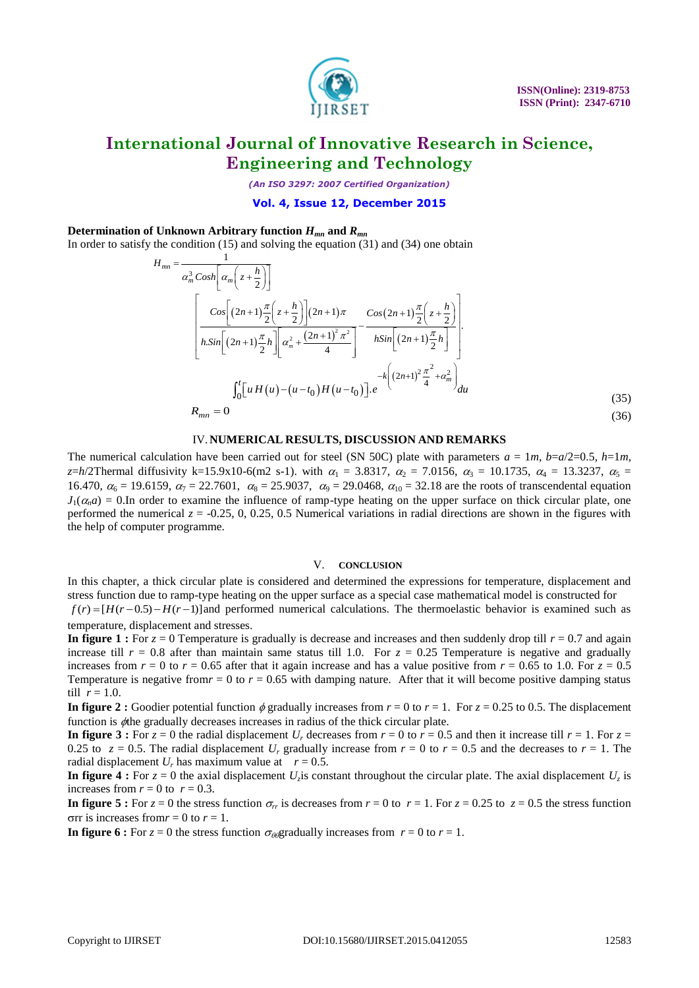

*(An ISO 3297: 2007 Certified Organization)*

#### **Vol. 4, Issue 12, December 2015**

#### **Determination of Unknown Arbitrary function**  $H_{mn}$  **and**  $R_{mn}$

In order to satisfy the condition (15) and solving the equation (31) and (34) one obtain

$$
H_{mn} = \frac{1}{\alpha_m^3 \cosh\left[\alpha_m\left(z + \frac{h}{2}\right)\right]}
$$
  
\n
$$
\left[\frac{\cos\left[(2n+1)\frac{\pi}{2}\left(z + \frac{h}{2}\right)\right](2n+1)\pi}{h.\sin\left[(2n+1)\frac{\pi}{2}h\right]\left[\alpha_m^2 + \frac{(2n+1)^2\pi^2}{4}\right]} - \frac{\cos(2n+1)\frac{\pi}{2}\left(z + \frac{h}{2}\right)}{h.\sin\left[(2n+1)\frac{\pi}{2}h\right]}\right]
$$
  
\n
$$
h.\sin\left[\left(2n+1\right)\frac{\pi}{2}h\right]\left[\alpha_m^2 + \frac{(2n+1)^2\pi^2}{4}\right] - k\left[\left(2n+1\right)^2\frac{\pi^2}{4} + \alpha_m^2\right]_{du}
$$
  
\n
$$
R_{mn} = 0
$$
  
\n(35)

#### IV.**NUMERICAL RESULTS, DISCUSSION AND REMARKS**

The numerical calculation have been carried out for steel (SN 50C) plate with parameters  $a = 1m$ ,  $b=a/2=0.5$ ,  $h=1m$ , *z*=*h*/2Thermal diffusivity k=15.9x10-6(m2 s-1). with  $\alpha_1 = 3.8317$ ,  $\alpha_2 = 7.0156$ ,  $\alpha_3 = 10.1735$ ,  $\alpha_4 = 13.3237$ ,  $\alpha_5 =$ 16.470,  $\alpha_6 = 19.6159$ ,  $\alpha_7 = 22.7601$ ,  $\alpha_8 = 25.9037$ ,  $\alpha_9 = 29.0468$ ,  $\alpha_{10} = 32.18$  are the roots of transcendental equation  $J_1(\alpha_n a) = 0$ . In order to examine the influence of ramp-type heating on the upper surface on thick circular plate, one performed the numerical  $z = -0.25, 0, 0.25, 0.5$  Numerical variations in radial directions are shown in the figures with the help of computer programme.

#### V. **CONCLUSION**

In this chapter, a thick circular plate is considered and determined the expressions for temperature, displacement and stress function due to ramp-type heating on the upper surface as a special case mathematical model is constructed for  $f(r) = [H(r-0.5) - H(r-1)]$  and performed numerical calculations. The thermoelastic behavior is examined such as temperature, displacement and stresses.

**In figure 1 :** For  $z = 0$  Temperature is gradually is decrease and increases and then suddenly drop till  $r = 0.7$  and again increase till  $r = 0.8$  after than maintain same status till 1.0. For  $z = 0.25$  Temperature is negative and gradually increases from  $r = 0$  to  $r = 0.65$  after that it again increase and has a value positive from  $r = 0.65$  to 1.0. For  $z = 0.5$ Temperature is negative from  $r = 0$  to  $r = 0.65$  with damping nature. After that it will become positive damping status till  $r = 1.0$ .

**In figure 2 :** Goodier potential function  $\phi$  gradually increases from  $r = 0$  to  $r = 1$ . For  $z = 0.25$  to 0.5. The displacement function is  $\phi$ the gradually decreases increases in radius of the thick circular plate.

**In figure 3 :** For  $z = 0$  the radial displacement  $U_r$  decreases from  $r = 0$  to  $r = 0.5$  and then it increase till  $r = 1$ . For  $z = 1$ 0.25 to  $z = 0.5$ . The radial displacement  $U_r$  gradually increase from  $r = 0$  to  $r = 0.5$  and the decreases to  $r = 1$ . The radial displacement  $U_r$  has maximum value at  $r = 0.5$ .

In figure 4 : For  $z = 0$  the axial displacement  $U_z$  is constant throughout the circular plate. The axial displacement  $U_z$  is increases from  $r = 0$  to  $r = 0.3$ .

**In figure 5 :** For  $z = 0$  the stress function  $\sigma_r$  is decreases from  $r = 0$  to  $r = 1$ . For  $z = 0.25$  to  $z = 0.5$  the stress function  $\sigma$ rr is increases from *r* = 0 to *r* = 1.

**In figure 6 :** For  $z = 0$  the stress function  $\sigma_{\theta\theta}$  gradually increases from  $r = 0$  to  $r = 1$ .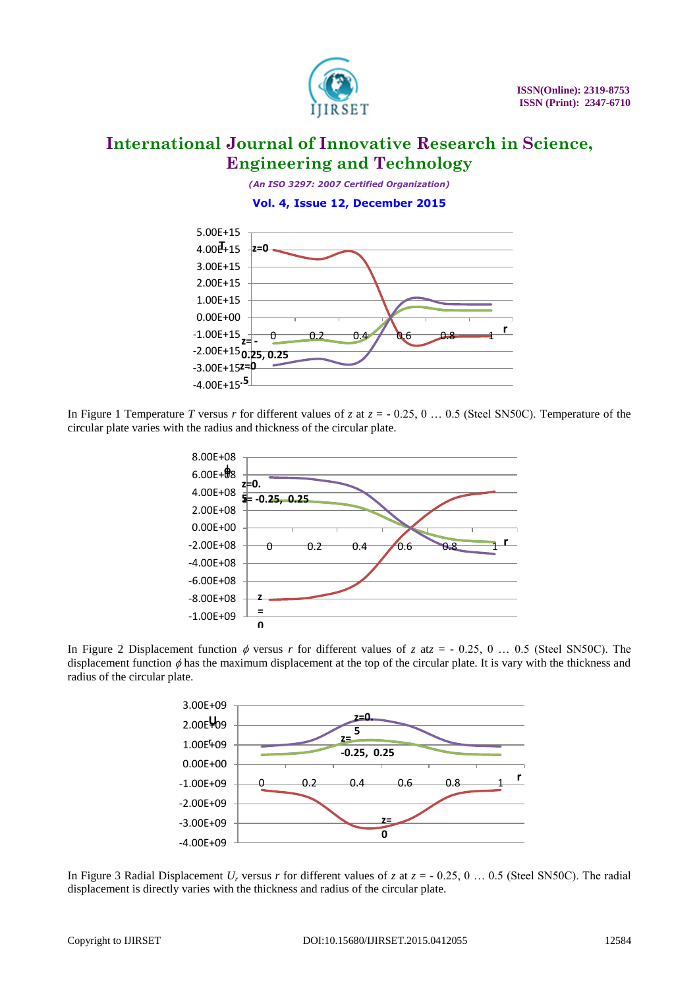

*(An ISO 3297: 2007 Certified Organization)* **Vol. 4, Issue 12, December 2015**



In Figure 1 Temperature *T* versus *r* for different values of *z* at  $z = -0.25$ , 0 ... 0.5 (Steel SN50C). Temperature of the circular plate varies with the radius and thickness of the circular plate.







In Figure 3 Radial Displacement  $U_r$  versus r for different values of *z* at  $z = -0.25, 0...$  0.5 (Steel SN50C). The radial displacement is directly varies with the thickness and radius of the circular plate.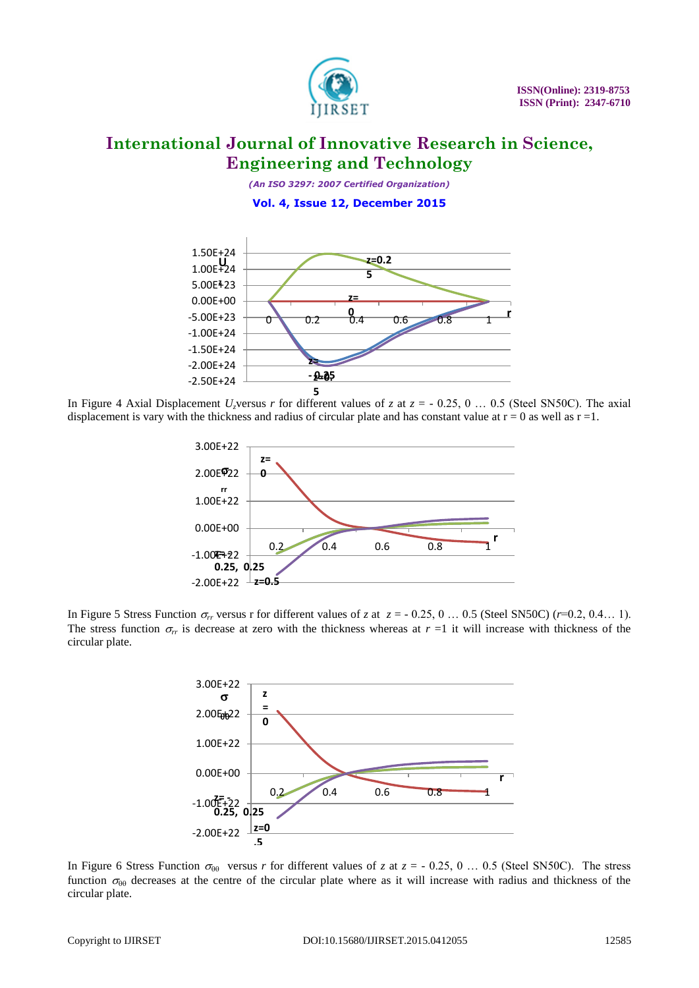

*(An ISO 3297: 2007 Certified Organization)* **Vol. 4, Issue 12, December 2015**



In Figure 4 Axial Displacement  $U_z$ versus *r* for different values of *z* at  $z = -0.25, 0...$  0.5 (Steel SN50C). The axial displacement is vary with the thickness and radius of circular plate and has constant value at  $r = 0$  as well as  $r = 1$ .



In Figure 5 Stress Function  $\sigma_r$  versus r for different values of *z* at  $z = -0.25, 0 \dots 0.5$  (Steel SN50C) (*r*=0.2, 0.4... 1). The stress function  $\sigma_r$  is decrease at zero with the thickness whereas at  $r = 1$  it will increase with thickness of the circular plate.



In Figure 6 Stress Function  $\sigma_{\theta\theta}$  versus *r* for different values of *z* at *z* = - 0.25, 0 ... 0.5 (Steel SN50C). The stress function  $\sigma_{\theta\theta}$  decreases at the centre of the circular plate where as it will increase with radius and thickness of the circular plate.